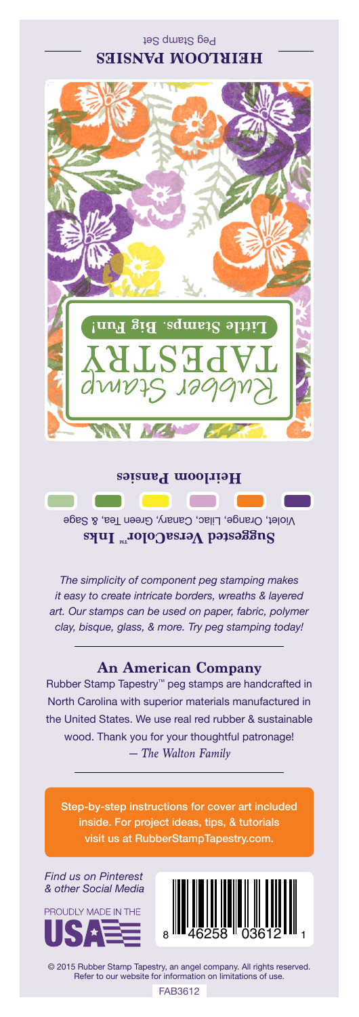Peg Stamp Set **HEIRLOOM PANSIES**



## **Heirloom Pansies**

Violet, Orange, Lilac, Canary, Green Tea, & Sage Suggested VersaColor<sup>m</sup> Inks

*The simplicity of component peg stamping makes it easy to create intricate borders, wreaths & layered art. Our stamps can be used on paper, fabric, polymer clay, bisque, glass, & more. Try peg stamping today!*

## **An American Company**

*— The Walton Family* Rubber Stamp Tapestry™ peg stamps are handcrafted in North Carolina with superior materials manufactured in the United States. We use real red rubber & sustainable wood. Thank you for your thoughtful patronage!

Step-by-step instructions for cover art included inside. For project ideas, tips, & tutorials visit us at RubberStampTapestry.com.

*Find us on Pinterest & other Social Media*





© 2015 Rubber Stamp Tapestry, an angel company. All rights reserved. Refer to our website for information on limitations of use.